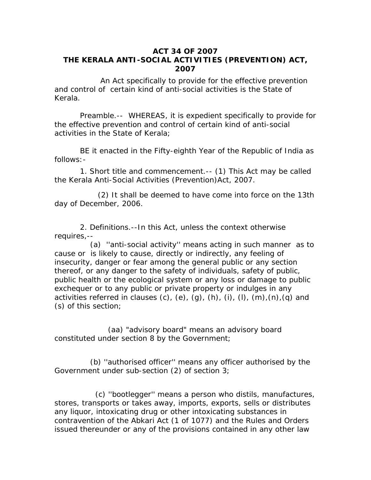## **ACT 34 OF 2007 THE KERALA ANTI-SOCIAL ACTIVITIES (PREVENTION) ACT, 2007**

 An Act specifically to provide for the effective prevention and control of certain kind of anti-social activities is the State of Kerala.

 *Preamble.--* WHEREAS, it is expedient specifically to provide for the effective prevention and control of certain kind of anti-social activities in the State of Kerala;

 BE it enacted in the Fifty-eighth Year of the Republic of India as follows:-

 1. *Short title and commencement*.-- (1) This Act may be called the Kerala Anti-Social Activities (Prevention)Act, 2007.

 (2) It shall be deemed to have come into force on the 13th day of December, 2006.

 *2. Definitions.--*In this Act, unless the context otherwise requires,--

 (a) ''anti-social activity'' means acting in such manner as to cause or is likely to cause, directly or indirectly, any feeling of insecurity, danger or fear among the general public or any section thereof, or any danger to the safety of individuals, safety of public, public health or the ecological system or any loss or damage to public exchequer or to any public or private property or indulges in any activities referred in clauses (c), (e), (q), (h), (i), (l), (m), (n), (q) and (s) of this section;

 (aa) "advisory board" means an advisory board constituted under section 8 by the Government;

 (b) ''authorised officer'' means any officer authorised by the Government under sub-section (2) of section 3;

 (c) ''bootlegger'' means a person who distils, manufactures, stores, transports or takes away, imports, exports, sells or distributes any liquor, intoxicating drug or other intoxicating substances in contravention of the Abkari Act (1 of 1077) and the Rules and Orders issued thereunder or any of the provisions contained in any other law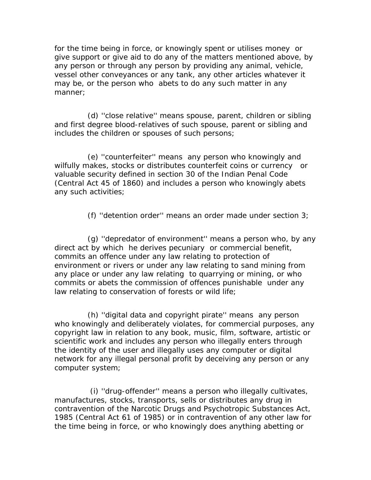for the time being in force, or knowingly spent or utilises money or give support or give aid to do any of the matters mentioned above, by any person or through any person by providing any animal, vehicle, vessel other conveyances or any tank, any other articles whatever it may be, or the person who abets to do any such matter in any manner;

 (d) ''close relative'' means spouse, parent, children or sibling and first degree blood-relatives of such spouse, parent or sibling and includes the children or spouses of such persons;

 (e) ''counterfeiter'' means any person who knowingly and wilfully makes, stocks or distributes counterfeit coins or currency or valuable security defined in section 30 of the Indian Penal Code (Central Act 45 of 1860) and includes a person who knowingly abets any such activities;

(f) ''detention order'' means an order made under section 3;

 (g) ''depredator of environment'' means a person who, by any direct act by which he derives pecuniary or commercial benefit, commits an offence under any law relating to protection of environment or rivers or under any law relating to sand mining from any place or under any law relating to quarrying or mining, or who commits or abets the commission of offences punishable under any law relating to conservation of forests or wild life;

 (h) ''digital data and copyright pirate'' means any person who knowingly and deliberately violates, for commercial purposes, any copyright law in relation to any book, music, film, software, artistic or scientific work and includes any person who illegally enters through the identity of the user and illegally uses any computer or digital network for any illegal personal profit by deceiving any person or any computer system;

 (i) ''drug-offender'' means a person who illegally cultivates, manufactures, stocks, transports, sells or distributes any drug in contravention of the Narcotic Drugs and Psychotropic Substances Act, 1985 (Central Act 61 of 1985) or in contravention of any other law for the time being in force, or who knowingly does anything abetting or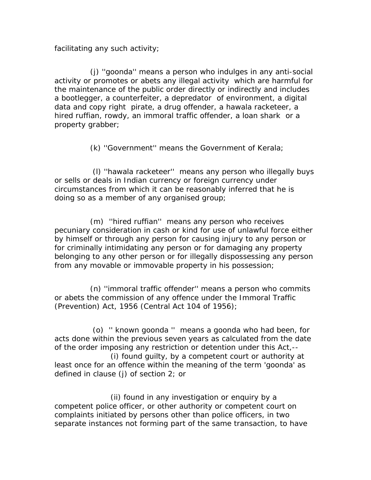facilitating any such activity;

 (j) ''goonda'' means a person who indulges in any anti-social activity or promotes or abets any illegal activity which are harmful for the maintenance of the public order directly or indirectly and includes a bootlegger, a counterfeiter, a depredator of environment, a digital data and copy right pirate, a drug offender, a hawala racketeer, a hired ruffian, rowdy, an immoral traffic offender, a loan shark or a property grabber;

(k) ''Government'' means the Government of Kerala;

 (l) ''hawala racketeer'' means any person who illegally buys or sells or deals in Indian currency or foreign currency under circumstances from which it can be reasonably inferred that he is doing so as a member of any organised group;

 (m) ''hired ruffian'' means any person who receives pecuniary consideration in cash or kind for use of unlawful force either by himself or through any person for causing injury to any person or for criminally intimidating any person or for damaging any property belonging to any other person or for illegally dispossessing any person from any movable or immovable property in his possession;

 (n) ''immoral traffic offender'' means a person who commits or abets the commission of any offence under the Immoral Traffic (Prevention) Act, 1956 (Central Act 104 of 1956);

 (o) '' known goonda '' means a goonda who had been, for acts done within the previous seven years as calculated from the date of the order imposing any restriction or detention under this Act,--

 (i) found guilty, by a competent court or authority at least once for an offence within the meaning of the term 'goonda' as defined in clause (j) of section 2; or

 (ii) found in any investigation or enquiry by a competent police officer, or other authority or competent court on complaints initiated by persons other than police officers, in two separate instances not forming part of the same transaction, to have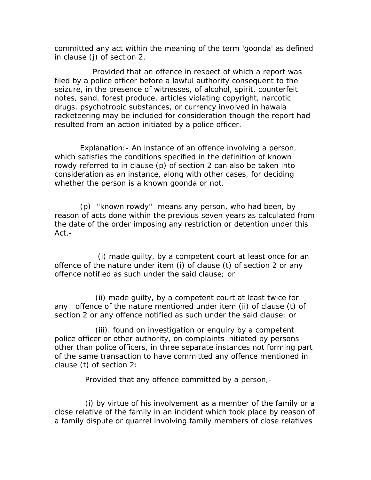committed any act within the meaning of the term 'goonda' as defined in clause (j) of section 2.

 Provided that an offence in respect of which a report was filed by a police officer before a lawful authority consequent to the seizure, in the presence of witnesses, of alcohol, spirit, counterfeit notes, sand, forest produce, articles violating copyright, narcotic drugs, psychotropic substances, or currency involved in hawala racketeering may be included for consideration though the report had resulted from an action initiated by a police officer.

 *Explanation*:- An instance of an offence involving a person, which satisfies the conditions specified in the definition of known rowdy referred to in clause (p) of section 2 can also be taken into consideration as an instance, along with other cases, for deciding whether the person is a known goonda or not.

 (p) ''known rowdy'' means any person, who had been, by reason of acts done within the previous seven years as calculated from the date of the order imposing any restriction or detention under this Act,-

 (i) made guilty, by a competent court at least once for an offence of the nature under item (i) of clause (t) of section 2 or any offence notified as such under the said clause; or

 (ii) made guilty, by a competent court at least twice for any offence of the nature mentioned under item (ii) of clause (t) of section 2 or any offence notified as such under the said clause; or

 (iii). found on investigation or enquiry by a competent police officer or other authority, on complaints initiated by persons other than police officers, in three separate instances not forming part of the same transaction to have committed any offence mentioned in clause (t) of section 2:

Provided that any offence committed by a person,-

 (i) by virtue of his involvement as a member of the family or a close relative of the family in an incident which took place by reason of a family dispute or quarrel involving family members of close relatives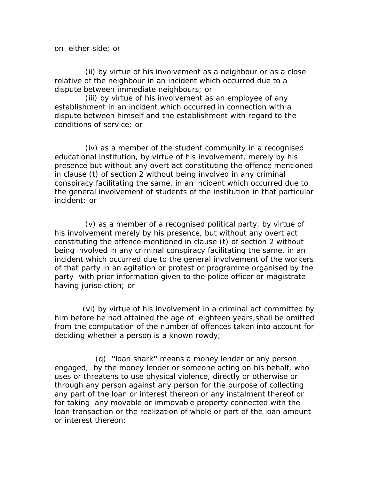on either side; or

 (ii) by virtue of his involvement as a neighbour or as a close relative of the neighbour in an incident which occurred due to a dispute between immediate neighbours; or

 (iii) by virtue of his involvement as an employee of any establishment in an incident which occurred in connection with a dispute between himself and the establishment with regard to the conditions of service; or

 (iv) as a member of the student community in a recognised educational institution, by virtue of his involvement, merely by his presence but without any overt act constituting the offence mentioned in clause (t) of section 2 without being involved in any criminal conspiracy facilitating the same, in an incident which occurred due to the general involvement of students of the institution in that particular incident; or

 (v) as a member of a recognised political party, by virtue of his involvement merely by his presence, but without any overt act constituting the offence mentioned in clause (t) of section 2 without being involved in any criminal conspiracy facilitating the same, in an incident which occurred due to the general involvement of the workers of that party in an agitation or protest or programme organised by the party with prior information given to the police officer or magistrate having jurisdiction; or

 (vi) by virtue of his involvement in a criminal act committed by him before he had attained the age of eighteen years,shall be omitted from the computation of the number of offences taken into account for deciding whether a person is a known rowdy;

 (q) ''loan shark'' means a money lender or any person engaged, by the money lender or someone acting on his behalf, who uses or threatens to use physical violence, directly or otherwise or through any person against any person for the purpose of collecting any part of the loan or interest thereon or any instalment thereof or for taking any movable or immovable property connected with the loan transaction or the realization of whole or part of the loan amount or interest thereon;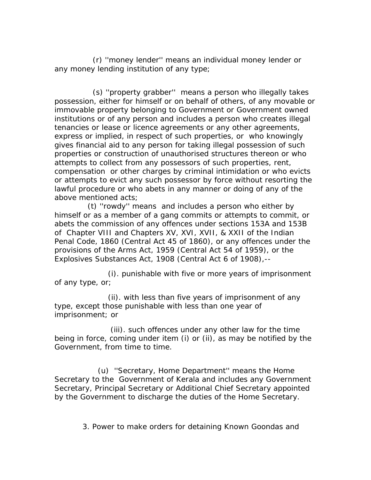(r) ''money lender'' means an individual money lender or any money lending institution of any type;

 (s) ''property grabber'' means a person who illegally takes possession, either for himself or on behalf of others, of any movable or immovable property belonging to Government or Government owned institutions or of any person and includes a person who creates illegal tenancies or lease or licence agreements or any other agreements, express or implied, in respect of such properties, or who knowingly gives financial aid to any person for taking illegal possession of such properties or construction of unauthorised structures thereon or who attempts to collect from any possessors of such properties, rent, compensation or other charges by criminal intimidation or who evicts or attempts to evict any such possessor by force without resorting the lawful procedure or who abets in any manner or doing of any of the above mentioned acts;

 (t) ''rowdy'' means and includes a person who either by himself or as a member of a gang commits or attempts to commit, or abets the commission of any offences under sections 153A and 153B of Chapter VIII and Chapters XV, XVI, XVII, & XXII of the Indian Penal Code, 1860 (Central Act 45 of 1860), or any offences under the provisions of the Arms Act, 1959 (Central Act 54 of 1959), or the Explosives Substances Act, 1908 (Central Act 6 of 1908),--

 (i). punishable with five or more years of imprisonment of any type, or;

 (ii). with less than five years of imprisonment of any type, except those punishable with less than one year of imprisonment; or

 (iii). such offences under any other law for the time being in force, coming under item (i) or (ii), as may be notified by the Government, from time to time.

 (u) ''Secretary, Home Department'' means the Home Secretary to the Government of Kerala and includes any Government Secretary, Principal Secretary or Additional Chief Secretary appointed by the Government to discharge the duties of the Home Secretary.

 *3. Power to make orders for detaining Known Goondas and*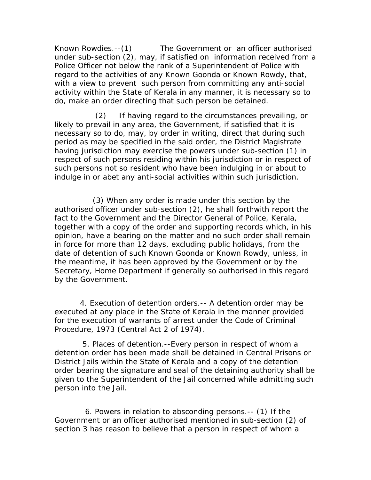*Known Rowdies.--*(1) The Government or an officer authorised under sub-section (2), may, if satisfied on information received from a Police Officer not below the rank of a Superintendent of Police with regard to the activities of any Known Goonda or Known Rowdy, that, with a view to prevent such person from committing any anti-social activity within the State of Kerala in any manner, it is necessary so to do, make an order directing that such person be detained.

 (2) If having regard to the circumstances prevailing, or likely to prevail in any area, the Government, if satisfied that it is necessary so to do, may, by order in writing, direct that during such period as may be specified in the said order, the District Magistrate having jurisdiction may exercise the powers under sub-section (1) in respect of such persons residing within his jurisdiction or in respect of such persons not so resident who have been indulging in or about to indulge in or abet any anti-social activities within such jurisdiction.

 (3) When any order is made under this section by the authorised officer under sub-section (2), he shall forthwith report the fact to the Government and the Director General of Police, Kerala, together with a copy of the order and supporting records which, in his opinion, have a bearing on the matter and no such order shall remain in force for more than 12 days, excluding public holidays, from the date of detention of such Known Goonda or Known Rowdy, unless, in the meantime, it has been approved by the Government or by the Secretary, Home Department if generally so authorised in this regard by the Government.

 *4. Execution of detention orders.--* A detention order may be executed at any place in the State of Kerala in the manner provided for the execution of warrants of arrest under the Code of Criminal Procedure, 1973 (Central Act 2 of 1974).

 *5. Places of detention*.--Every person in respect of whom a detention order has been made shall be detained in Central Prisons or District Jails within the State of Kerala and a copy of the detention order bearing the signature and seal of the detaining authority shall be given to the Superintendent of the Jail concerned while admitting such person into the Jail.

 *6. Powers in relation to absconding persons.--* (1) If the Government or an officer authorised mentioned in sub-section (2) of section 3 has reason to believe that a person in respect of whom a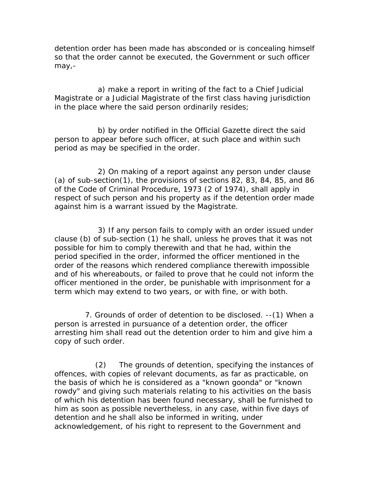detention order has been made has absconded or is concealing himself so that the order cannot be executed, the Government or such officer may,-

 a) make a report in writing of the fact to a Chief Judicial Magistrate or a Judicial Magistrate of the first class having jurisdiction in the place where the said person ordinarily resides;

 b) by order notified in the Official Gazette direct the said person to appear before such officer, at such place and within such period as may be specified in the order.

 2) On making of a report against any person under clause (a) of sub-section(1), the provisions of sections 82, 83, 84, 85, and 86 of the Code of Criminal Procedure, 1973 (2 of 1974), shall apply in respect of such person and his property as if the detention order made against him is a warrant issued by the Magistrate.

 3) If any person fails to comply with an order issued under clause (b) of sub-section (1) he shall, unless he proves that it was not possible for him to comply therewith and that he had, within the period specified in the order, informed the officer mentioned in the order of the reasons which rendered compliance therewith impossible and of his whereabouts, or failed to prove that he could not inform the officer mentioned in the order, be punishable with imprisonment for a term which may extend to two years, or with fine, or with both.

 7. *Grounds of order of detention to be disclosed. --*(1) When a person is arrested in pursuance of a detention order, the officer arresting him shall read out the detention order to him and give him a copy of such order.

 (2) The grounds of detention, specifying the instances of offences, with copies of relevant documents, as far as practicable, on the basis of which he is considered as a "known goonda" or "known rowdy" and giving such materials relating to his activities on the basis of which his detention has been found necessary, shall be furnished to him as soon as possible nevertheless, in any case, within five days of detention and he shall also be informed in writing, under acknowledgement, of his right to represent to the Government and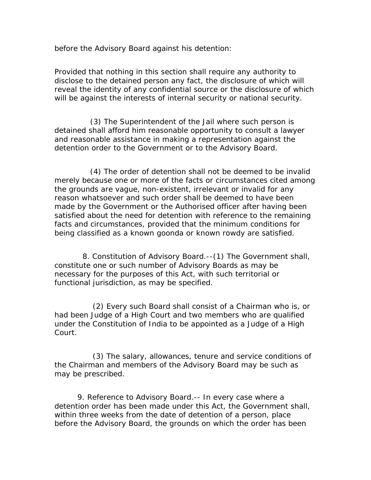before the Advisory Board against his detention:

Provided that nothing in this section shall require any authority to disclose to the detained person any fact, the disclosure of which will reveal the identity of any confidential source or the disclosure of which will be against the interests of internal security or national security.

 (3) The Superintendent of the Jail where such person is detained shall afford him reasonable opportunity to consult a lawyer and reasonable assistance in making a representation against the detention order to the Government or to the Advisory Board.

 (4) The order of detention shall not be deemed to be invalid merely because one or more of the facts or circumstances cited among the grounds are vague, non-existent, irrelevant or invalid for any reason whatsoever and such order shall be deemed to have been made by the Government or the Authorised officer after having been satisfied about the need for detention with reference to the remaining facts and circumstances, provided that the minimum conditions for being classified as a known goonda or known rowdy are satisfied.

 *8. Constitution of Advisory Board.--*(1) The Government shall, constitute one or such number of Advisory Boards as may be necessary for the purposes of this Act, with such territorial or functional jurisdiction, as may be specified.

 (2) Every such Board shall consist of a Chairman who is, or had been Judge of a High Court and two members who are qualified under the Constitution of India to be appointed as a Judge of a High Court.

 (3) The salary, allowances, tenure and service conditions of the Chairman and members of the Advisory Board may be such as may be prescribed.

 *9. Reference to Advisory Board.--* In every case where a detention order has been made under this Act, the Government shall, within three weeks from the date of detention of a person, place before the Advisory Board, the grounds on which the order has been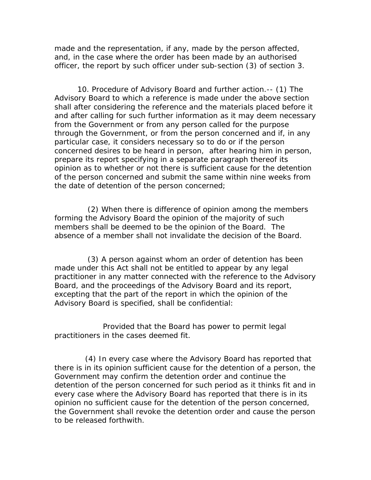made and the representation, if any, made by the person affected, and, in the case where the order has been made by an authorised officer, the report by such officer under sub-section (3) of section 3.

 *10. Procedure of Advisory Board and further action*.-- (1) The Advisory Board to which a reference is made under the above section shall after considering the reference and the materials placed before it and after calling for such further information as it may deem necessary from the Government or from any person called for the purpose through the Government, or from the person concerned and if, in any particular case, it considers necessary so to do or if the person concerned desires to be heard in person, after hearing him in person, prepare its report specifying in a separate paragraph thereof its opinion as to whether or not there is sufficient cause for the detention of the person concerned and submit the same within nine weeks from the date of detention of the person concerned;

 (2) When there is difference of opinion among the members forming the Advisory Board the opinion of the majority of such members shall be deemed to be the opinion of the Board. The absence of a member shall not invalidate the decision of the Board.

 (3) A person against whom an order of detention has been made under this Act shall not be entitled to appear by any legal practitioner in any matter connected with the reference to the Advisory Board, and the proceedings of the Advisory Board and its report, excepting that the part of the report in which the opinion of the Advisory Board is specified, shall be confidential:

 Provided that the Board has power to permit legal practitioners in the cases deemed fit.

 (4) In every case where the Advisory Board has reported that there is in its opinion sufficient cause for the detention of a person, the Government may confirm the detention order and continue the detention of the person concerned for such period as it thinks fit and in every case where the Advisory Board has reported that there is in its opinion no sufficient cause for the detention of the person concerned, the Government shall revoke the detention order and cause the person to be released forthwith.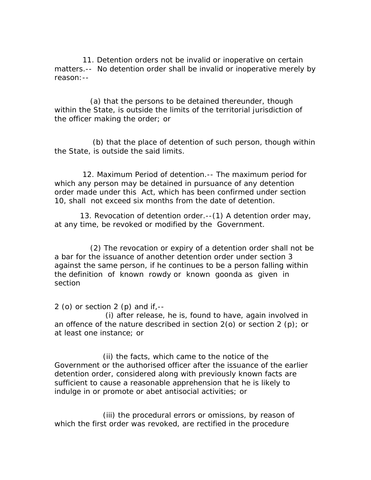11*. Detention orders not be invalid or inoperative on certain matters.--* No detention order shall be invalid or inoperative merely by reason:--

 (a) that the persons to be detained thereunder, though within the State, is outside the limits of the territorial jurisdiction of the officer making the order; or

 (b) that the place of detention of such person, though within the State, is outside the said limits.

 *12. Maximum Period of detention.--* The maximum period for which any person may be detained in pursuance of any detention order made under this Act, which has been confirmed under section 10, shall not exceed six months from the date of detention.

 *13. Revocation of detention order.--*(1) A detention order may, at any time, be revoked or modified by the Government.

 (2) The revocation or expiry of a detention order shall not be a bar for the issuance of another detention order under section 3 against the same person, if he continues to be a person falling within the definition of known rowdy or known goonda as given in section

2 (o) or section 2 (p) and if, $-$ 

 (i) after release, he is, found to have, again involved in an offence of the nature described in section  $2$  (o) or section  $2$  (p); or at least one instance; or

 (ii) the facts, which came to the notice of the Government or the authorised officer after the issuance of the earlier detention order, considered along with previously known facts are sufficient to cause a reasonable apprehension that he is likely to indulge in or promote or abet antisocial activities; or

 (iii) the procedural errors or omissions, by reason of which the first order was revoked, are rectified in the procedure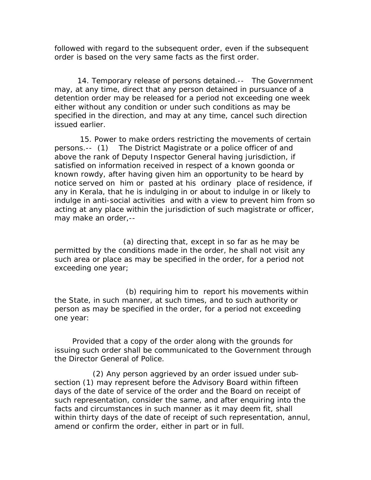followed with regard to the subsequent order, even if the subsequent order is based on the very same facts as the first order.

 *14. Temporary release of persons detained.--* The Government may, at any time, direct that any person detained in pursuance of a detention order may be released for a period not exceeding one week either without any condition or under such conditions as may be specified in the direction, and may at any time, cancel such direction issued earlier.

 *15. Power to make orders restricting the movements of certain persons.--* (1) The District Magistrate or a police officer of and above the rank of Deputy Inspector General having jurisdiction, if satisfied on information received in respect of a known goonda or known rowdy, after having given him an opportunity to be heard by notice served on him or pasted at his ordinary place of residence, if any in Kerala, that he is indulging in or about to indulge in or likely to indulge in anti-social activities and with a view to prevent him from so acting at any place within the jurisdiction of such magistrate or officer, may make an order,--

 (a) directing that, except in so far as he may be permitted by the conditions made in the order, he shall not visit any such area or place as may be specified in the order, for a period not exceeding one year;

 (b) requiring him to report his movements within the State, in such manner, at such times, and to such authority or person as may be specified in the order, for a period not exceeding one year:

 Provided that a copy of the order along with the grounds for issuing such order shall be communicated to the Government through the Director General of Police.

 (2) Any person aggrieved by an order issued under subsection (1) may represent before the Advisory Board within fifteen days of the date of service of the order and the Board on receipt of such representation, consider the same, and after enquiring into the facts and circumstances in such manner as it may deem fit, shall within thirty days of the date of receipt of such representation, annul, amend or confirm the order, either in part or in full.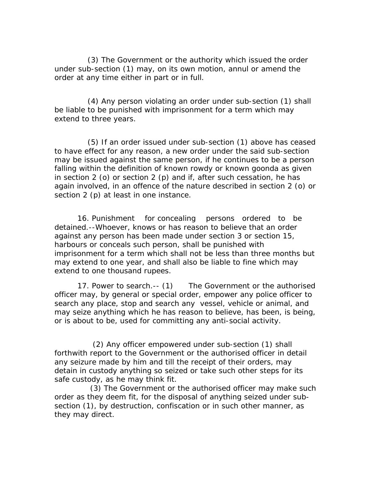(3) The Government or the authority which issued the order under sub-section (1) may, on its own motion, annul or amend the order at any time either in part or in full.

 (4) Any person violating an order under sub-section (1) shall be liable to be punished with imprisonment for a term which may extend to three years.

 (5) If an order issued under sub-section (1) above has ceased to have effect for any reason, a new order under the said sub-section may be issued against the same person, if he continues to be a person falling within the definition of known rowdy or known goonda as given in section 2 (o) or section 2 (p) and if, after such cessation, he has again involved, in an offence of the nature described in section 2 (o) or section 2 (p) at least in one instance.

 *16. Punishment for concealing persons ordered to be detained.--*Whoever, knows or has reason to believe that an order against any person has been made under section 3 or section 15, harbours or conceals such person, shall be punished with imprisonment for a term which shall not be less than three months but may extend to one year, and shall also be liable to fine which may extend to one thousand rupees.

 *17. Power to search.-- (*1) The Government or the authorised officer may, by general or special order, empower any police officer to search any place, stop and search any vessel, vehicle or animal, and may seize anything which he has reason to believe, has been, is being, or is about to be, used for committing any anti-social activity.

 (2) Any officer empowered under sub-section (1) shall forthwith report to the Government or the authorised officer in detail any seizure made by him and till the receipt of their orders, may detain in custody anything so seized or take such other steps for its safe custody, as he may think fit.

 (3) The Government or the authorised officer may make such order as they deem fit, for the disposal of anything seized under subsection (1), by destruction, confiscation or in such other manner, as they may direct.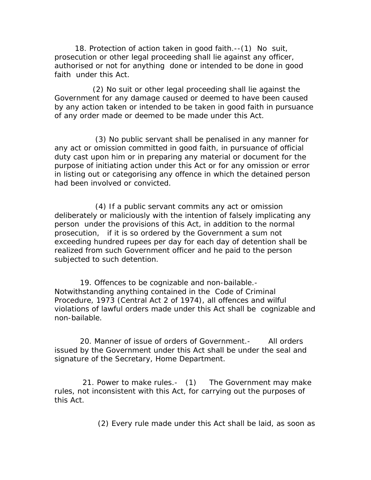*18. Protection of action taken in good faith.--*(1) No suit, prosecution or other legal proceeding shall lie against any officer, authorised or not for anything done or intended to be done in good faith under this Act.

 (2) No suit or other legal proceeding shall lie against the Government for any damage caused or deemed to have been caused by any action taken or intended to be taken in good faith in pursuance of any order made or deemed to be made under this Act.

 (3) No public servant shall be penalised in any manner for any act or omission committed in good faith, in pursuance of official duty cast upon him or in preparing any material or document for the purpose of initiating action under this Act or for any omission or error in listing out or categorising any offence in which the detained person had been involved or convicted.

 (4) If a public servant commits any act or omission deliberately or maliciously with the intention of falsely implicating any person under the provisions of this Act, in addition to the normal prosecution, if it is so ordered by the Government a sum not exceeding hundred rupees per day for each day of detention shall be realized from such Government officer and he paid to the person subjected to such detention.

 19. *Offences to be cognizable and non-bailable.-* Notwithstanding anything contained in the Code of Criminal Procedure, 1973 (Central Act 2 of 1974), all offences and wilful violations of lawful orders made under this Act shall be cognizable and non-bailable.

 20. *Manner of issue of orders of Government.-* All orders issued by the Government under this Act shall be under the seal and signature of the Secretary, Home Department.

 21. *Power to make rules.-* (1) The Government may make rules, not inconsistent with this Act, for carrying out the purposes of this Act.

(2) Every rule made under this Act shall be laid, as soon as